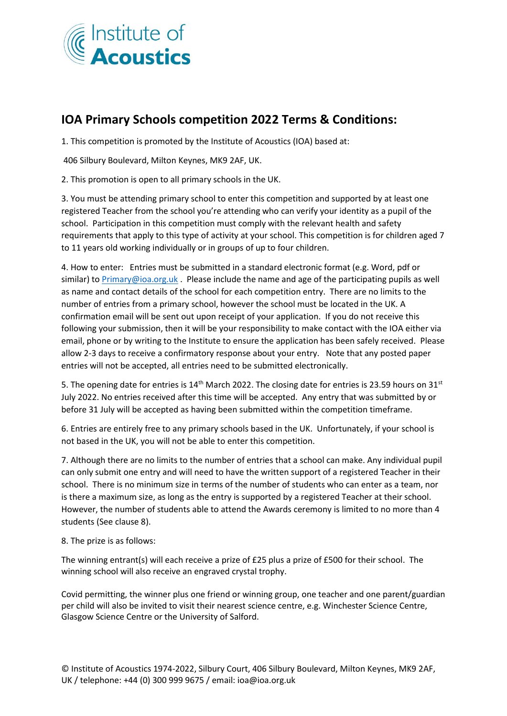

## **IOA Primary Schools competition 2022 Terms & Conditions:**

1. This competition is promoted by the Institute of Acoustics (IOA) based at:

406 Silbury Boulevard, Milton Keynes, MK9 2AF, UK.

2. This promotion is open to all primary schools in the UK.

3. You must be attending primary school to enter this competition and supported by at least one registered Teacher from the school you're attending who can verify your identity as a pupil of the school. Participation in this competition must comply with the relevant health and safety requirements that apply to this type of activity at your school. This competition is for children aged 7 to 11 years old working individually or in groups of up to four children.

4. How to enter: Entries must be submitted in a standard electronic format (e.g. Word, pdf or similar) t[o Primary@ioa.org.uk](mailto:Primary@ioa.org.uk). Please include the name and age of the participating pupils as well as name and contact details of the school for each competition entry. There are no limits to the number of entries from a primary school, however the school must be located in the UK. A confirmation email will be sent out upon receipt of your application. If you do not receive this following your submission, then it will be your responsibility to make contact with the IOA either via email, phone or by writing to the Institute to ensure the application has been safely received. Please allow 2-3 days to receive a confirmatory response about your entry. Note that any posted paper entries will not be accepted, all entries need to be submitted electronically.

5. The opening date for entries is 14<sup>th</sup> March 2022. The closing date for entries is 23.59 hours on 31<sup>st</sup> July 2022. No entries received after this time will be accepted. Any entry that was submitted by or before 31 July will be accepted as having been submitted within the competition timeframe.

6. Entries are entirely free to any primary schools based in the UK. Unfortunately, if your school is not based in the UK, you will not be able to enter this competition.

7. Although there are no limits to the number of entries that a school can make. Any individual pupil can only submit one entry and will need to have the written support of a registered Teacher in their school. There is no minimum size in terms of the number of students who can enter as a team, nor is there a maximum size, as long as the entry is supported by a registered Teacher at their school. However, the number of students able to attend the Awards ceremony is limited to no more than 4 students (See clause 8).

8. The prize is as follows:

The winning entrant(s) will each receive a prize of £25 plus a prize of £500 for their school. The winning school will also receive an engraved crystal trophy.

Covid permitting, the winner plus one friend or winning group, one teacher and one parent/guardian per child will also be invited to visit their nearest science centre, e.g. Winchester Science Centre, Glasgow Science Centre or the University of Salford.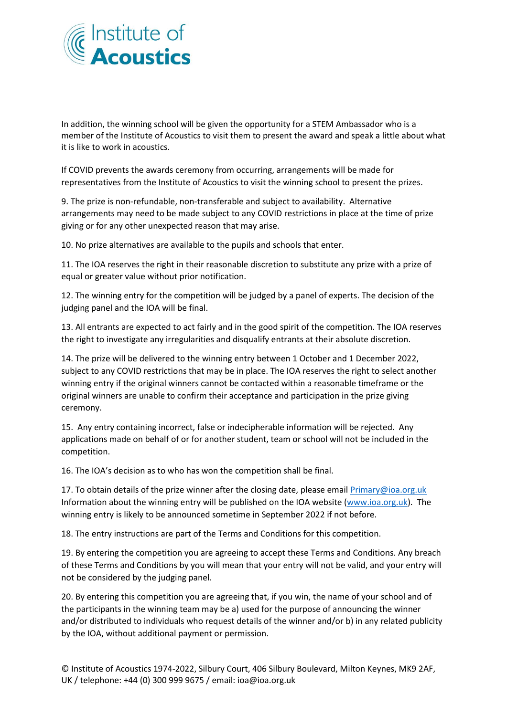

In addition, the winning school will be given the opportunity for a STEM Ambassador who is a member of the Institute of Acoustics to visit them to present the award and speak a little about what it is like to work in acoustics.

If COVID prevents the awards ceremony from occurring, arrangements will be made for representatives from the Institute of Acoustics to visit the winning school to present the prizes.

9. The prize is non-refundable, non-transferable and subject to availability. Alternative arrangements may need to be made subject to any COVID restrictions in place at the time of prize giving or for any other unexpected reason that may arise.

10. No prize alternatives are available to the pupils and schools that enter.

11. The IOA reserves the right in their reasonable discretion to substitute any prize with a prize of equal or greater value without prior notification.

12. The winning entry for the competition will be judged by a panel of experts. The decision of the judging panel and the IOA will be final.

13. All entrants are expected to act fairly and in the good spirit of the competition. The IOA reserves the right to investigate any irregularities and disqualify entrants at their absolute discretion.

14. The prize will be delivered to the winning entry between 1 October and 1 December 2022, subject to any COVID restrictions that may be in place. The IOA reserves the right to select another winning entry if the original winners cannot be contacted within a reasonable timeframe or the original winners are unable to confirm their acceptance and participation in the prize giving ceremony.

15. Any entry containing incorrect, false or indecipherable information will be rejected. Any applications made on behalf of or for another student, team or school will not be included in the competition.

16. The IOA's decision as to who has won the competition shall be final.

17. To obtain details of the prize winner after the closing date, please email Primary@ioa.org.uk Information about the winning entry will be published on the IOA website [\(www.ioa.org.uk\)](http://www.ioa.org.uk/). The winning entry is likely to be announced sometime in September 2022 if not before.

18. The entry instructions are part of the Terms and Conditions for this competition.

19. By entering the competition you are agreeing to accept these Terms and Conditions. Any breach of these Terms and Conditions by you will mean that your entry will not be valid, and your entry will not be considered by the judging panel.

20. By entering this competition you are agreeing that, if you win, the name of your school and of the participants in the winning team may be a) used for the purpose of announcing the winner and/or distributed to individuals who request details of the winner and/or b) in any related publicity by the IOA, without additional payment or permission.